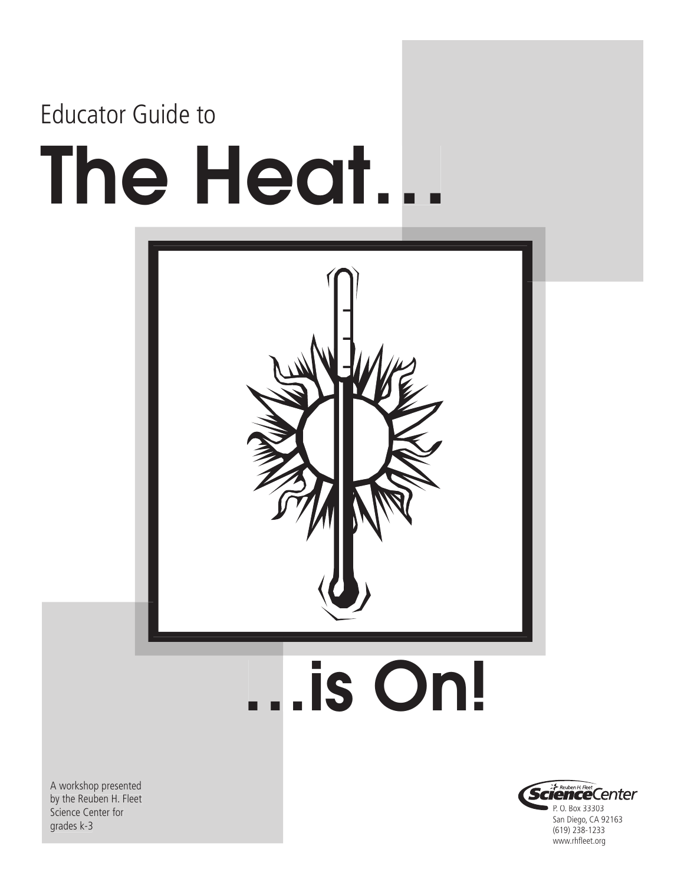# The Heat… Educator Guide to



…is On!

A workshop presented by the Reuben H. Fleet Science Center for grades k-3

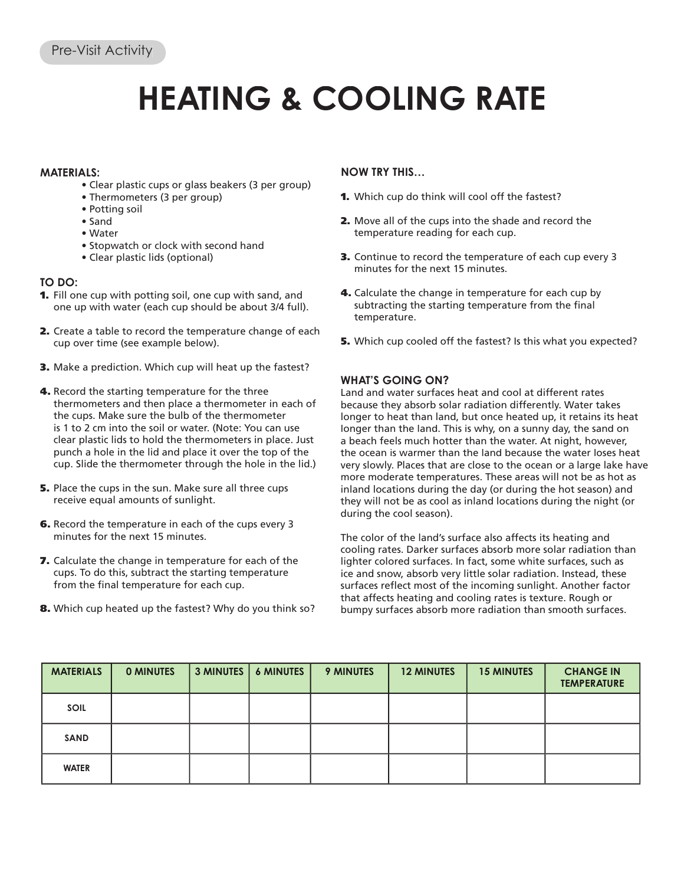### **HEATING & COOLING RATE**

### **MATERIALS:**

- Clear plastic cups or glass beakers (3 per group)
- Thermometers (3 per group)
- Potting soil
- Sand
- Water
- Stopwatch or clock with second hand
- Clear plastic lids (optional)

### **TO DO:**

- 1. Fill one cup with potting soil, one cup with sand, and one up with water (each cup should be about 3/4 full).
- 2. Create a table to record the temperature change of each cup over time (see example below).
- 3. Make a prediction. Which cup will heat up the fastest?
- 4. Record the starting temperature for the three thermometers and then place a thermometer in each of the cups. Make sure the bulb of the thermometer is 1 to 2 cm into the soil or water. (Note: You can use clear plastic lids to hold the thermometers in place. Just punch a hole in the lid and place it over the top of the cup. Slide the thermometer through the hole in the lid.)
- 5. Place the cups in the sun. Make sure all three cups receive equal amounts of sunlight.
- 6. Record the temperature in each of the cups every 3 minutes for the next 15 minutes.
- 7. Calculate the change in temperature for each of the cups. To do this, subtract the starting temperature from the final temperature for each cup.
- 8. Which cup heated up the fastest? Why do you think so?

### **NOW TRY THIS…**

- 1. Which cup do think will cool off the fastest?
- 2. Move all of the cups into the shade and record the temperature reading for each cup.
- 3. Continue to record the temperature of each cup every 3 minutes for the next 15 minutes.
- 4. Calculate the change in temperature for each cup by subtracting the starting temperature from the final temperature.
- **5.** Which cup cooled off the fastest? Is this what you expected?

### **WHAT'S GOING ON?**

Land and water surfaces heat and cool at different rates because they absorb solar radiation differently. Water takes longer to heat than land, but once heated up, it retains its heat longer than the land. This is why, on a sunny day, the sand on a beach feels much hotter than the water. At night, however, the ocean is warmer than the land because the water loses heat very slowly. Places that are close to the ocean or a large lake have more moderate temperatures. These areas will not be as hot as inland locations during the day (or during the hot season) and they will not be as cool as inland locations during the night (or during the cool season).

The color of the land's surface also affects its heating and cooling rates. Darker surfaces absorb more solar radiation than lighter colored surfaces. In fact, some white surfaces, such as ice and snow, absorb very little solar radiation. Instead, these surfaces reflect most of the incoming sunlight. Another factor that affects heating and cooling rates is texture. Rough or bumpy surfaces absorb more radiation than smooth surfaces.

| <b>MATERIALS</b> | <b>O MINUTES</b> | 3 MINUTES | <b>6 MINUTES</b> | <b>9 MINUTES</b> | <b>12 MINUTES</b> | <b>15 MINUTES</b> | <b>CHANGE IN</b><br><b>TEMPERATURE</b> |
|------------------|------------------|-----------|------------------|------------------|-------------------|-------------------|----------------------------------------|
| <b>SOIL</b>      |                  |           |                  |                  |                   |                   |                                        |
| <b>SAND</b>      |                  |           |                  |                  |                   |                   |                                        |
| <b>WATER</b>     |                  |           |                  |                  |                   |                   |                                        |